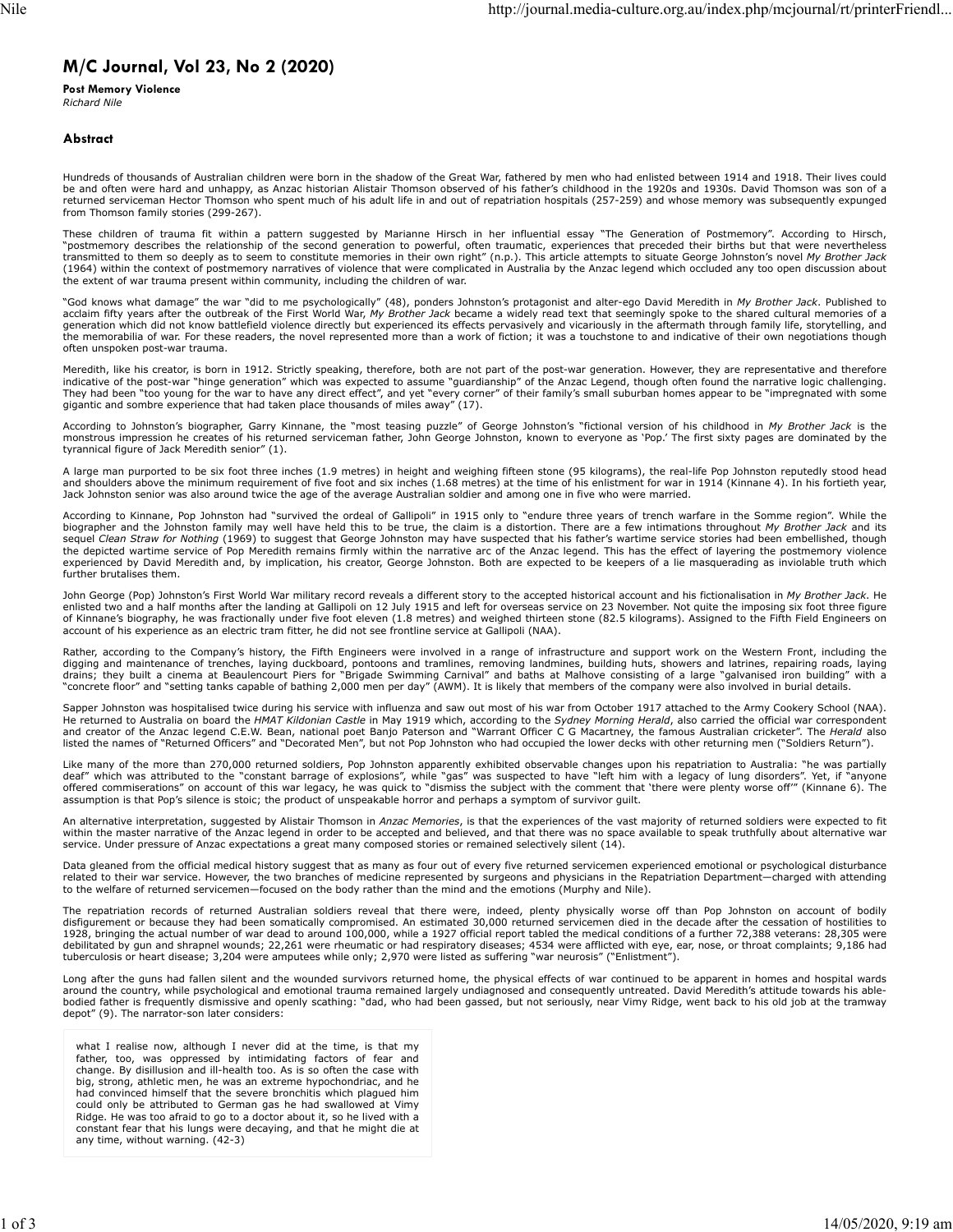## **M/C Journal, Vol 23, No 2 (2020)**

**Post Memory Violence** *Richard Nile*

## **Abstract**

Hundreds of thousands of Australian children were born in the shadow of the Great War, fathered by men who had enlisted between 1914 and 1918. Their lives could be and often were hard and unhappy, as Anzac historian Alistair Thomson observed of his father's childhood in the 1920s and 1930s. David Thomson was son of a returned serviceman Hector Thomson who spent much of his adult life in and out of repatriation hospitals (257-259) and whose memory was subsequently expunged from Thomson family stories (299-267).

These children of trauma fit within a pattern suggested by Marianne Hirsch in her influential essay "The Generation of Postmemory". According to Hirsch, "postmemory describes the relationship of the second generation to powerful, often traumatic, experiences that preceded their births but that were nevertheless transmitted to them so deeply as to seem to constitute memories in their own right" (n.p.). This article attempts to situate George Johnston's novel *My Brother Jack* (1964) within the context of postmemory narratives of violence that were complicated in Australia by the Anzac legend which occluded any too open discussion about the extent of war trauma present within community, including the children of war.

"God knows what damage" the war "did to me psychologically" (48), ponders Johnston's protagonist and alter-ego David Meredith in *My Brother Jack*. Published to<br>acclaim fifty years after the outbreak of the First World War the memorabilia of war. For these readers, the novel represented more than a work of fiction; it was a touchstone to and indicative of their own negotiations though often unspoken post-war trauma.

Meredith, like his creator, is born in 1912. Strictly speaking, therefore, both are not part of the post-war generation. However, they are representative and therefore indicative of the post-war "hinge generation" which was expected to assume "guardianship" of the Anzac Legend, though often found the narrative logic challenging. They had been "too young for the war to have any direct effect", and yet "every corner" of their family's small suburban homes appear to be "impregnated with some gigantic and sombre experience that had taken place thousands of miles away" (17).

According to Johnston's biographer, Garry Kinnane, the "most teasing puzzle" of George Johnston's "fictional version of his childhood in *My Brother Jack* is the monstrous impression he creates of his returned serviceman father, John George Johnston, known to everyone as 'Pop.' The first sixty pages are dominated by the tyrannical figure of Jack Meredith senior" (1).

A large man purported to be six foot three inches (1.9 metres) in height and weighing fifteen stone (95 kilograms), the real-life Pop Johnston reputedly stood head and shoulders above the minimum requirement of five foot and six inches (1.68 metres) at the time of his enlistment for war in 1914 (Kinnane 4). In his fortieth year, Jack Johnston senior was also around twice the age of the average Australian soldier and among one in five who were married.

According to Kinnane, Pop Johnston had "survived the ordeal of Gallipoli" in 1915 only to "endure three years of trench warfare in the Somme region". While the<br>biographer and the Johnston family may well have held this to experienced by David Meredith and, by implication, his creator, George Johnston. Both are expected to be keepers of a lie masquerading as inviolable truth which further brutalises them.

John George (Pop) Johnston's First World War military record reveals a different story to the accepted historical account and his fictionalisation in *My Brother Jack*. He enlisted two and a half months after the landing at Gallipoli on 12 July 1915 and left for overseas service on 23 November. Not quite the imposing six foot three figure of Kinnane's biography, he was fractionally under five foot eleven (1.8 metres) and weighed thirteen stone (82.5 kilograms). Assigned to the Fifth Field Engineers on account of his experience as an electric tram fitter, he did not see frontline service at Gallipoli (NAA).

Rather, according to the Company's history, the Fifth Engineers were involved in a range of infrastructure and support work on the Western Front, including the digging and maintenance of trenches, laying duckboard, pontoons and tramlines, removing landmines, building huts, showers and latrines, repairing roads, laying<br>drains; they built a cinema at Beaulencourt Piers for "Brigade

Sapper Johnston was hospitalised twice during his service with influenza and saw out most of his war from October 1917 attached to the Army Cookery School (NAA).<br>He returned to Australia on board the *HMAT Kildonian Castle* listed the names of "Returned Officers" and "Decorated Men", but not Pop Johnston who had occupied the lower decks with other returning men ("Soldiers Return").

Like many of the more than 270,000 returned soldiers, Pop Johnston apparently exhibited observable changes upon his repatriation to Australia: "he was partially<br>deaf" which was attributed to the "constant barrage of explos offered commiserations" on account of this war legacy, he was quick to "dismiss the subject with the comment that 'there were plenty worse off'" (Kinnane 6). The assumption is that Pop's silence is stoic; the product of unspeakable horror and perhaps a symptom of survivor guilt.

An alternative interpretation, suggested by Alistair Thomson in *Anzac Memories*, is that the experiences of the vast majority of returned soldiers were expected to fit within the master narrative of the Anzac legend in order to be accepted and believed, and that there was no space available to speak truthfully about alternative war service. Under pressure of Anzac expectations a great many composed stories or remained selectively silent (14).

Data gleaned from the official medical history suggest that as many as four out of every five returned servicemen experienced emotional or psychological disturbance related to their war service. However, the two branches of medicine represented by surgeons and physicians in the Repatriation Department—charged with attending to the welfare of returned servicemen—focused on the body rather than the mind and the emotions (Murphy and Nile).

The repatriation records of returned Australian soldiers reveal that there were, indeed, plenty physically worse off than Pop Johnston on account of bodily disfigurement or because they had been somatically compromised. An estimated 30,000 returned servicemen died in the decade after the cessation of hostilities to 1928, bringing the actual number of war dead to around 100,000, while a 1927 official report tabled the medical conditions of a further 72,388 veterans: 28,305 were debilitated by gun and shrapnel wounds; 22,261 were rheumatic or had respiratory diseases; 4534 were afflicted with eye, ear, nose, or throat complaints; 9,186 had<br>tuberculosis or heart disease; 3,204 were amputees while o

Long after the guns had fallen silent and the wounded survivors returned home, the physical effects of war continued to be apparent in homes and hospital wards around the country, while psychological and emotional trauma remained largely undiagnosed and consequently untreated. David Meredith's attitude towards his ablebodied father is frequently dismissive and openly scathing: "dad, who had been gassed, but not seriously, near Vimy Ridge, went back to his old job at the tramway depot" (9). The narrator-son later considers:

what I realise now, although I never did at the time, is that my father, too, was oppressed by intimidating factors of fear and change. By disillusion and ill-health too. As is so often the case with big, strong, athletic men, he was an extreme hypochondriac, and he had convinced himself that the severe bronchitis which plagued him could only be attributed to German gas he had swallowed at Vimy Ridge. He was too afraid to go to a doctor about it, so he lived with a constant fear that his lungs were decaying, and that he might die at any time, without warning. (42-3)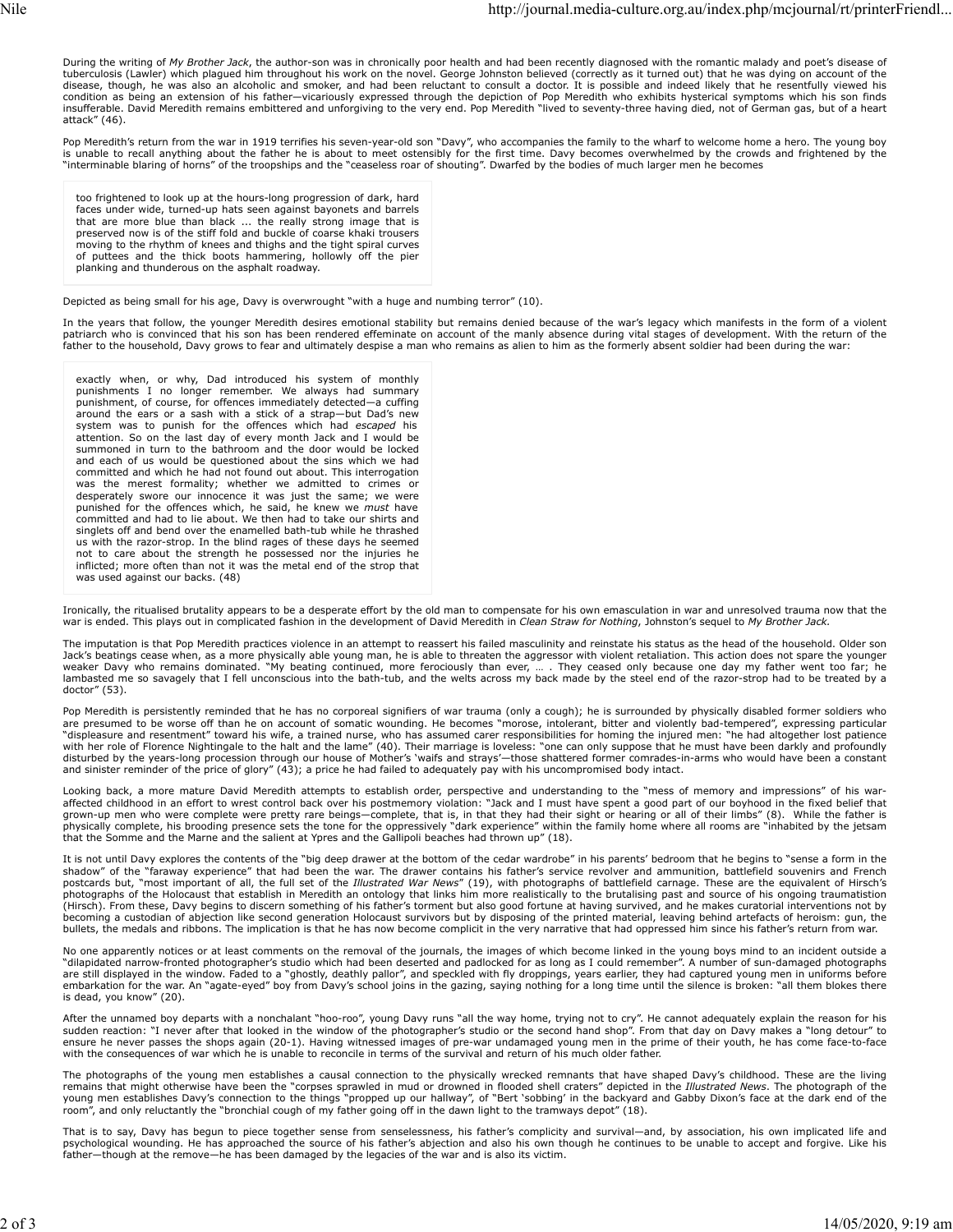During the writing of My Brother Jack, the author-son was in chronically poor health and had been recently diagnosed with the romantic malady and poet's disease of tuberculosis (Lawler) which plagued him throughout his work on the novel. George Johnston believed (correctly as it turned out) that he was dying on account of the disease, though, he was also an alcoholic and smoker, and had been reluctant to consult a doctor. It is possible and indeed likely that he resentfully viewed his condition as being an extension of his father—vicariously expressed through the depiction of Pop Meredith who exhibits hysterical symptoms which his son finds<br>insufferable. David Meredith remains embittered and unforgiving attack" (46).

Pop Meredith's return from the war in 1919 terrifies his seven-year-old son "Davy", who accompanies the family to the wharf to welcome home a hero. The young boy<br>is unable to recall anything about the father he is about to "interminable blaring of horns" of the troopships and the "ceaseless roar of shouting". Dwarfed by the bodies of much larger men he becomes

too frightened to look up at the hours-long progression of dark, hard faces under wide, turned-up hats seen against bayonets and barrels that are more blue than black ... the really strong image that is preserved now is of the stiff fold and buckle of coarse khaki trousers moving to the rhythm of knees and thighs and the tight spiral curves of puttees and the thick boots hammering, hollowly off the pier planking and thunderous on the asphalt roadway.

Depicted as being small for his age, Davy is overwrought "with a huge and numbing terror" (10).

In the years that follow, the younger Meredith desires emotional stability but remains denied because of the war's legacy which manifests in the form of a violent patriarch who is convinced that his son has been rendered effeminate on account of the manly absence during vital stages of development. With the return of the father to the household, Davy grows to fear and ultimately despise a man who remains as alien to him as the formerly absent soldier had been during the war:

exactly when, or why, Dad introduced his system of monthly punishments I no longer remember. We always had summary punishment, of course, for offences immediately detected—a cuffing around the ears or a sash with a stick of a strap—but Dad's new system was to punish for the offences which had *escaped* his attention. So on the last day of every month Jack and I would be summoned in turn to the bathroom and the door would be locked and each of us would be questioned about the sins which we had committed and which he had not found out about. This interrogation was the merest formality; whether we admitted to crimes or desperately swore our innocence it was just the same; we were punished for the offences which, he said, he knew we *must* have committed and had to lie about. We then had to take our shirts and similated and had to he assett the enamelled bath-tub while he thrashed us with the razor-strop. In the blind rages of these days he seemed not to care about the strength he possessed nor the injuries he inflicted; more often than not it was the metal end of the strop that was used against our backs. (48)

Ironically, the ritualised brutality appears to be a desperate effort by the old man to compensate for his own emasculation in war and unresolved trauma now that the war is ended. This plays out in complicated fashion in the development of David Meredith in *Clean Straw for Nothing*, Johnston's sequel to *My Brother Jack.*

The imputation is that Pop Meredith practices violence in an attempt to reassert his failed masculinity and reinstate his status as the head of the household. Older son Jack's beatings cease when, as a more physically able young man, he is able to threaten the aggressor with violent retaliation. This action does not spare the younger<br>weaker Davy who remains dominated. "My beating continue doctor" (53).

Pop Meredith is persistently reminded that he has no corporeal signifiers of war trauma (only a cough); he is surrounded by physically disabled former soldiers who<br>are presumed to be worse off than he on account of somatic "displeasure and resentment" toward his wife, a trained nurse, who has assumed carer responsibilities for homing the injured men: "he had altogether lost patience<br>with her role of Florence Nightingale to the halt and the l and sinister reminder of the price of glory" (43); a price he had failed to adequately pay with his uncompromised body intact.

Looking back, a more mature David Meredith attempts to establish order, perspective and understanding to the "mess of memory and impressions" of his war-<br>affected childhood in an effort to wrest control back over his postm that the Somme and the Marne and the salient at Ypres and the Gallipoli beaches had thrown up" (18).

It is not until Davy explores the contents of the "big deep drawer at the bottom of the cedar wardrobe" in his parents' bedroom that he begins to "sense a form in the<br>shadow" of the "faraway experience" that had been the w photographs of the Holocaust that establish in Meredith an ontology that links him more realistically to the brutalising past and source of his ongoing traumatistion (Hirsch). From these, Davy begins to discern something of his father's torment but also good fortune at having survived, and he makes curatorial interventions not by becoming a custodian of abjection like second generation Holocaust survivors but by disposing of the printed material, leaving behind artefacts of heroism: gun, the<br>bullets, the medals and ribbons. The implication is that

No one apparently notices or at least comments on the removal of the journals, the images of which become linked in the young boys mind to an incident outside a "dilapidated narrow-fronted photographer's studio which had been deserted and padlocked for as long as I could remember". A number of sun-damaged photographs<br>are still displayed in the window. Faded to a "ghostly, deathly embarkation for the war. An "agate-eyed" boy from Davy's school joins in the gazing, saying nothing for a long time until the silence is broken: "all them blokes there is dead, you know" (20).

After the unnamed boy departs with a nonchalant "hoo-roo", young Davy runs "all the way home, trying not to cry". He cannot adequately explain the reason for his<br>sudden reaction: "I never after that looked in the window of ensure he never passes the shops again (20-1). Having witnessed images of pre-war undamaged young men in the prime of their youth, he has come face-to-face with the consequences of war which he is unable to reconcile in terms of the survival and return of his much older father.

The photographs of the young men establishes a causal connection to the physically wrecked remnants that have shaped Davy's childhood. These are the living remains that might otherwise have been the "corpses sprawled in mud or drowned in flooded shell craters" depicted in the *Illustrated News*. The photograph of the<br>young men establishes Davy's connection to the things "prop

That is to say, Davy has begun to piece together sense from senselessness, his father's complicity and survival—and, by association, his own implicated life and psychological wounding. He has approached the source of his father's abjection and also his own though he continues to be unable to accept and forgive. Like his<br>father—though at the remove—he has been damaged by the legaci